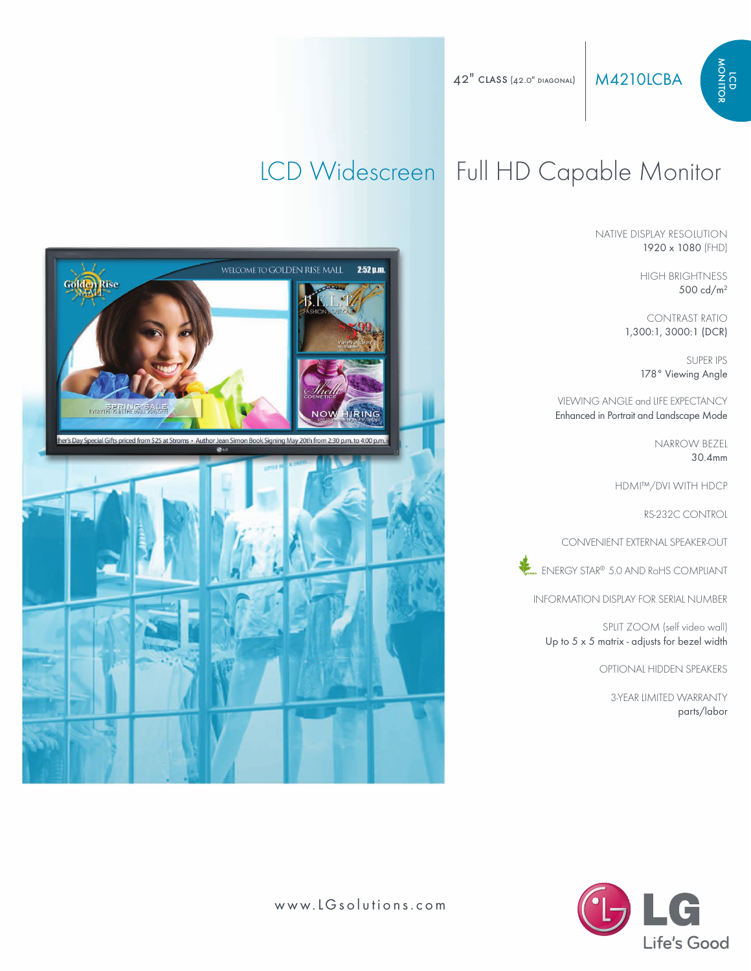NATIVE DISPLAY RESOLUTION 1920 x 1080 (FHD)

> HIGH BRIGHTNESS 500 cd/m2

o nitor

CONTRAST RATIO 1,300:1, 3000:1 (DCR)

> SUPER IPS 178° Viewing Angle

VIEWING ANGLE and LIFE EXPECTANCY Enhanced in Portrait and Landscape Mode

> NARROW BEZEL 30.4mm

HDMI™/DVI WITH HDCP

RS-232C CONTROL

CONVENIENT EXTERNAL SPEAKER-OUT

**External ENERGY STAR® 5.0 AND RoHS COMPLIANT** 

INFORMATION DISPLAY FOR SERIAL NUMBER

SPLIT ZOOM (self video wall) Up to 5 x 5 matrix - adjusts for bezel width

OPTIONAL HIDDEN SPEAKERS

3-YEAR LIMITED WARRANTY parts/labor